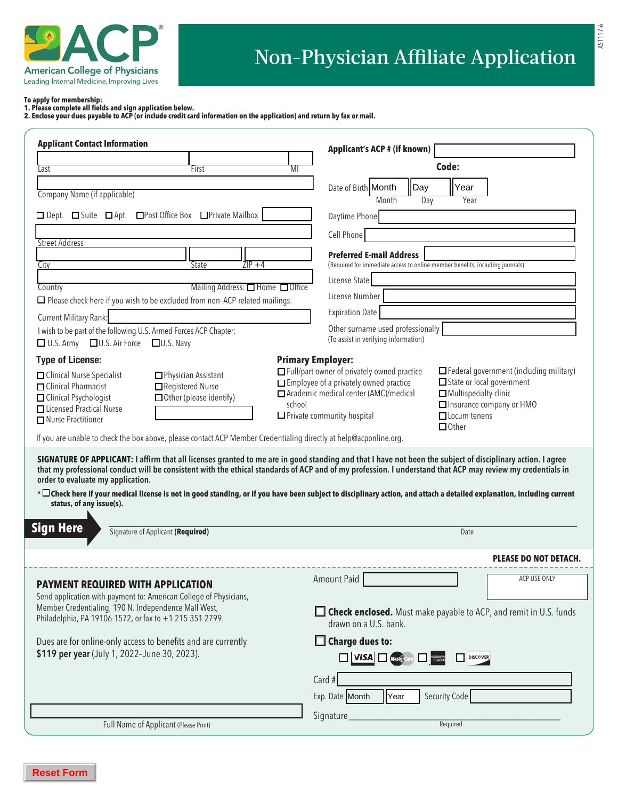

AS1117-6

**To apply for membership:**

**1. Please complete all fields and sign application below.** 

**2. Enclose your dues payable to ACP (or include credit card information on the application) and return by fax or mail.**

| <b>Applicant Contact Information</b>                                                                                                                                                                                                                                                                                                                                                                                                                                                                                                                                       | Applicant's ACP # (if known)                                                                                                            |                                                |
|----------------------------------------------------------------------------------------------------------------------------------------------------------------------------------------------------------------------------------------------------------------------------------------------------------------------------------------------------------------------------------------------------------------------------------------------------------------------------------------------------------------------------------------------------------------------------|-----------------------------------------------------------------------------------------------------------------------------------------|------------------------------------------------|
| Last<br>First                                                                                                                                                                                                                                                                                                                                                                                                                                                                                                                                                              | Code:<br>MI                                                                                                                             |                                                |
|                                                                                                                                                                                                                                                                                                                                                                                                                                                                                                                                                                            | Date of Birth Month<br>Day<br>Year                                                                                                      |                                                |
| Company Name (if applicable)                                                                                                                                                                                                                                                                                                                                                                                                                                                                                                                                               | Month<br>Day<br>Year                                                                                                                    |                                                |
| □ Dept. □ Suite □ Apt. □ Post Office Box □ Private Mailbox                                                                                                                                                                                                                                                                                                                                                                                                                                                                                                                 | Daytime Phone                                                                                                                           |                                                |
| <b>Street Address</b>                                                                                                                                                                                                                                                                                                                                                                                                                                                                                                                                                      | Cell Phone                                                                                                                              |                                                |
|                                                                                                                                                                                                                                                                                                                                                                                                                                                                                                                                                                            | <b>Preferred E-mail Address</b>                                                                                                         |                                                |
| 7TP +4<br>State<br>City                                                                                                                                                                                                                                                                                                                                                                                                                                                                                                                                                    | (Required for immediate access to online member benefits, including journals)                                                           |                                                |
| Mailing Address: □ Home □ Office<br>Country                                                                                                                                                                                                                                                                                                                                                                                                                                                                                                                                | License State                                                                                                                           |                                                |
| $\Box$ Please check here if you wish to be excluded from non-ACP-related mailings.                                                                                                                                                                                                                                                                                                                                                                                                                                                                                         | License Number                                                                                                                          |                                                |
| Current Military Rank:                                                                                                                                                                                                                                                                                                                                                                                                                                                                                                                                                     | <b>Expiration Date</b>                                                                                                                  |                                                |
| I wish to be part of the following U.S. Armed Forces ACP Chapter:<br>□ U.S. Army □ U.S. Air Force □ U.S. Navy                                                                                                                                                                                                                                                                                                                                                                                                                                                              | Other surname used professionally<br>(To assist in verifying information)                                                               |                                                |
| <b>Type of License:</b>                                                                                                                                                                                                                                                                                                                                                                                                                                                                                                                                                    | <b>Primary Employer:</b>                                                                                                                |                                                |
| Physician Assistant<br>□ Clinical Nurse Specialist                                                                                                                                                                                                                                                                                                                                                                                                                                                                                                                         | $\Box$ Full/part owner of privately owned practice                                                                                      | $\Box$ Federal government (including military) |
| Registered Nurse<br>□ Clinical Pharmacist                                                                                                                                                                                                                                                                                                                                                                                                                                                                                                                                  | Employee of a privately owned practice<br>State or local government<br>□ Academic medical center (AMC)/medical<br>Multispecialty clinic |                                                |
| $\Box$ Other (please identify)<br>□ Clinical Psychologist<br><b>THicensed Practical Nurse</b>                                                                                                                                                                                                                                                                                                                                                                                                                                                                              | Insurance company or HMO<br>school                                                                                                      |                                                |
| □ Nurse Practitioner                                                                                                                                                                                                                                                                                                                                                                                                                                                                                                                                                       | $\Box$ Locum tenens<br>$\Box$ Private community hospital<br>$\Box$ Other                                                                |                                                |
| If you are unable to check the box above, please contact ACP Member Credentialing directly at help@acponline.org.                                                                                                                                                                                                                                                                                                                                                                                                                                                          |                                                                                                                                         |                                                |
| SIGNATURE OF APPLICANT: I affirm that all licenses granted to me are in good standing and that I have not been the subject of disciplinary action. I agree<br>that my professional conduct will be consistent with the ethical standards of ACP and of my profession. I understand that ACP may review my credentials in<br>order to evaluate my application.<br>* $\Box$ Check here if your medical license is not in good standing, or if you have been subject to disciplinary action, and attach a detailed explanation, including current<br>status, of any issue(s). |                                                                                                                                         |                                                |
| <b>Sign Here</b><br>Signature of Applicant (Required)                                                                                                                                                                                                                                                                                                                                                                                                                                                                                                                      | Date                                                                                                                                    |                                                |
|                                                                                                                                                                                                                                                                                                                                                                                                                                                                                                                                                                            |                                                                                                                                         | <b>PLEASE DO NOT DETACH.</b>                   |
|                                                                                                                                                                                                                                                                                                                                                                                                                                                                                                                                                                            | <b>Amount Paid</b>                                                                                                                      | ACP USE ONLY                                   |
| <b>PAYMENT REQUIRED WITH APPLICATION</b><br>Send application with payment to: American College of Physicians,                                                                                                                                                                                                                                                                                                                                                                                                                                                              |                                                                                                                                         |                                                |
| Member Credentialing, 190 N. Independence Mall West,<br>Philadelphia, PA 19106-1572, or fax to +1-215-351-2799.                                                                                                                                                                                                                                                                                                                                                                                                                                                            | <b>Check enclosed.</b> Must make payable to ACP, and remit in U.S. funds                                                                |                                                |
|                                                                                                                                                                                                                                                                                                                                                                                                                                                                                                                                                                            | drawn on a U.S. bank.                                                                                                                   |                                                |
| Dues are for online-only access to benefits and are currently                                                                                                                                                                                                                                                                                                                                                                                                                                                                                                              | $\Box$ Charge dues to:                                                                                                                  |                                                |
| \$119 per year (July 1, 2022-June 30, 2023).                                                                                                                                                                                                                                                                                                                                                                                                                                                                                                                               | $\Box$ VISA $\Box$ $\Box$<br><b>DISCOVER</b>                                                                                            |                                                |
|                                                                                                                                                                                                                                                                                                                                                                                                                                                                                                                                                                            | Card #                                                                                                                                  |                                                |
|                                                                                                                                                                                                                                                                                                                                                                                                                                                                                                                                                                            | Security Code<br>Exp. Date Month<br>Year                                                                                                |                                                |
|                                                                                                                                                                                                                                                                                                                                                                                                                                                                                                                                                                            | Signature                                                                                                                               |                                                |
| Full Name of Applicant (Please Print)                                                                                                                                                                                                                                                                                                                                                                                                                                                                                                                                      | Required                                                                                                                                |                                                |